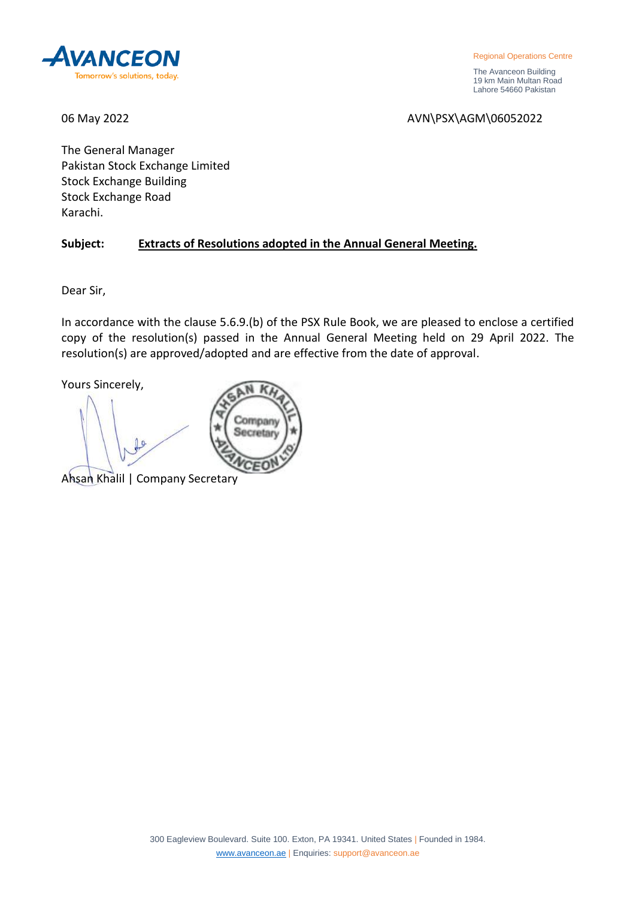

Regional Operations Centre

 The Avanceon Building 19 km Main Multan Road Lahore 54660 Pakistan

06 May 2022 2008 2009 2009 2012 2022 2024 2027 2028 2029 2029 2021 2022 2022 2024 2027 2028 2029 2029 2029 20

The General Manager Pakistan Stock Exchange Limited Stock Exchange Building Stock Exchange Road Karachi.

# **Subject: Extracts of Resolutions adopted in the Annual General Meeting.**

Company Secretary

Dear Sir,

In accordance with the clause 5.6.9.(b) of the PSX Rule Book, we are pleased to enclose a certified copy of the resolution(s) passed in the Annual General Meeting held on 29 April 2022. The resolution(s) are approved/adopted and are effective from the date of approval.

Yours Sincerely,

Ahsan Khalil | Company Secretary